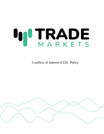# **IN TRADE**

Conflicts of Interest (COI) Policy

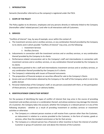### 1. **INTRODUCTION**

Semantic (hereinafter referred to as the company) is registered under the FSCA.

## 2. **SCOPE OF THE POLICY**

The Policy applies to its directors, employees and any persons directly or indirectly linked to the Company (hereinafter called 'related persons') and refer to all interactions with all Customers.

## **3. SERVICES**

"Conflicts of Interest" may, by way of example, occur within the context of:

- a. The investment services and or ancillary services, or any combination thereof provided by the Company to its clients and in which possible "Conflicts of Interest" may arise, are the following:
	- i. Investment Services
	- ii. Ancillary Services
- b. Inducements in connection with the investment services and or ancillary services, or any combination thereof provided by the Company to its clients
- c. Performance-related remuneration aid to the Company's staff and intermediaries in connection with investment services and or ancillary services, or any combination thereof provided by the Company to its clients
- d. Inducements granted to the s staff and intermediaries investment services and or ancillary services, or any combination thereof provided by the Company to it's clients
- e. The Company's relationship with issuers of financial instruments
- f. The preparation of financial analysis on securities offered for sale to the Company's Clients
- g. Access and use of information obtained by the Company or the staff of the Company which is not in the public domain
- h. Personal relationships of the Company's staff, or any persons associated with them, or the participation of these persons, in supervisory or advisory bodies.

## **4. IDENTIFICATIONOF CONFLICTSOF INTEREST**

For the purpose of identifying the types of conflict of interest that may arise in the course of providing investment and ancillary services or a combination thereof, and whose existence may damage the interests of a Customer, the Company takes into account, whether the Company or a relevant person is in any of the following situations - whether as a result of providing investment or ancillary services or investment activities or otherwise:

- a. The Company or a relevant person receives or will receive from a person other than the Customer, an inducement in relation to a service provided to the Customer, in the form of monies, goods or services, other than the standard commission or fee for that service.
- b. The Company or a relevant person has a financial or other incentive to favor the interest of another Customer or group of Customers over and above the interests of the Customer.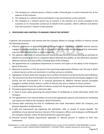- c. The Company or a relevant person is likely to make a financial gain, or avoid a financial loss, at the expense of the Customer.
- d. The Company or a relevant person participates in the same business as the Customer.
- e. The Company or a relevant person has an interest in the outcome of a service provided to the Customer or of a transaction carried out on behalf of the Customer, which is different and distinct from the Customer's interest in that outcome.

## **5. PROCEDURES AND CONTROLS TO MANAGE CONFLICTSOF INTEREST**

In general, the procedures and controls that the Company follows to manage conflicts of interest include the following measures:

- 1. Effective procedures to prevent or control the exchange of information between relevant persons engaged in activities involving the risk of a conflict of interest where the exchange of that information may harm the interests of one or more Customers.
- 2. The separate supervision of relevant persons whose principal functions involve carrying out activities on behalf of or providing services to, Customers whose interests may conflict, or who otherwise represent different interests that may conflict, including those of the Company.
- 3. The appointment of a Compliance Department to monitor and report on the above to the Company's Board of Directors.
- 4. Measures to prevent or limit any person from exercising inappropriate influence over the way in which a relevant person carries out investment or ancillary services or activities.
- 5. Segregation of those duties that may give rise to conflicts of interest if carried out by the same individual.
- 6. The removal of any direct link between the remuneration of relevant persons principally engaged in one activity and the remuneration of, or revenues generated by, different relevant persons principally engaged in another activity, where a conflict of interest may arise in relation to those activities.
- 7. A policy designed to limit the conflict of interest arising from the giving and receiving of inducements.
- 8. Procedures governing access to electronic data.
- 9. A 'need to know' policy governing the dissemination of confidential or inside information within the Company.
- 10. The appointment of an Internal Auditor to ensure that appropriate systems and controls are maintained and reports are made to the Company's Board of Directors.
- 11. Chinese walls restricting the flow of confidential and inside information within the Company, and physical separation of departments.
- 12. A gifts and inducements log registering the solicitation, offer or receipt of certain benefits. The prohibition of any external business interests of the Company's officers and employees conflicting with the Company interests, unless the Board of Directors approval is given.
- 13. Personal account dealing requirements applicable to relevant persons in relation to their own investments.

TradeMarkets is a trade name of SEMANTIC FUND MANAGERS (licence number 47725). SEMANTIC FUND MANAGERS, Company registration number: 2016/467340/07 (WORKSHOP 17, 138 WEST STREET, Sandton Gauteng 214, South Africa)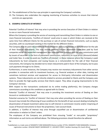- 14. The establishment of the four-eye principle in supervising the Company's activities.
- 15. The Company also undertakes the ongoing monitoring of business activities to ensure that internal controls are appropriate.

# **6. EXAMPLE CONFLICTS OF INTEREST**

Potential 'Conflicts of Interest' that may arise in providing the service Execution of Client Orders in relation to one or more financial instruments

Where the Company is providing the service of receiving and transmitting Client Orders in relation to one or more financial instruments, 'Conflicts of interest' could arise in cases in which Orders are received at the same time from different Clients for the purchase or sale of certain financial instruments, such as equity securities, with no counterpart existing in the market for the different Orders.

The Company may be paid inducements by fund companies and issuing houses as remuneration for the sale of their financial instruments. This may include portfolio volume dependent trailer fees paid by fund companies out of the respective management fees collected from investors and the sales commissions paid by issuers of securities in the form of placement commissions, reductions on issue prices (discount/rebate) and trailer fees. In order to avoid any 'Conflicts of Interest', in those instances where the Company is paid inducements by fund companies and issuing houses as a remuneration for the sale of their financial instruments, the Company has decided not to retain inducements paid in favor of the Company, but to pass such payments through to its Clients.

Furthermore, in some instances, the Company may receive non-monetary inducements from other service providers in connection with its investment business, e.g. financial analyses or other data, training and sometimes technical services and equipment for access to third-party information and dissemination systems. These inducements are not directly related to services provided to Clients and the Company uses them to provide the high-quality services that Clients expect. They allow on-going improvements to the Company's Services.

With respect to the transactions conducted via its online trading platform(s), the Company charges commissions according to the conditions as agreed with its Clients.

Potential "Conflict of Interests" that may arise in providing the investment service of Dealing on Own Account or combinations thereof:

Potential scenarios for 'Conflict of Interests' that may arise when providing the service of Dealing on Own Account may include the influencing of issue conditions for the benefit of own account dealing including the dissemination of biased investment advice due to self-interest in commission income and/or mispricing of issues of financial instruments to favor the proprietary / own account book.

In addition, a 'Conflict of Interest may arise through unjustified use or dissemination of confidential information in relation to Client' orders.

The employees of the Company are prohibited from misusing "inside" or non-public "proprietary" information as such terms are defined above. The following provisions should therefore be adhered to: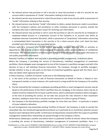- No relevant person may purchase or sell a security or cause the purchase or sale of a security for any account while in possession of "inside" information relating to that security;
- No relevant person may recommend or solicit the purchase or sale of any security while in possession of "inside" information relating to that security;
- No relevant person may disclose "inside" information to others, except disclosures made in accordance with the Company's policies and procedures to other Company personnel or persons outside the Company who have a valid business reason for receiving such information;
- No relevant person may purchase or sell or cause the purchase or sale of a security for an employee or employee-related account or a proprietary account of the Company or an account over which an employee exercises investment discretion, while in possession of "proprietary" information concerning a contemplated block transaction in the security or for a client account when such client has been provided such information by any associated person.

Chinese walls in a Company refer to the distinct segregation between different units or activities or departments. This is done to block the exchange of information and to preserve the use of confidential information. The ultimate objective of Chinese walls is thus to eliminate the misuse of inside information or non-public proprietary information.

Potential 'Conflicts of Interest' that may arise in providing portfolio management / investment advice Where the Company is providing the service of discretionary, individual management of investment portfolios, Clients delegate asset management to one of the Company's a portfolio managers and with it the decision to buy or sell individual financial instruments. The Company, through its portfolio managers, decides whether to buy or sell assets on the basis of investment guidelines agreed with the Client, but it does not obtain Client approval each time.

In these instances, 'Conflicts of Interest' could arise in the following instances:

- a. in the event of the purchase or sale of financial instruments on behalf of Clients in illiquid or nontransparent markets; in some instances, this could result in a large profit for the Company or for another Client.
- b. the fee received by the Company's employees providing portfolio or asset management services may be based on the performance of the Client's portfolio they are managing; in this instance, there may be an implicit incentive related to the increase in performance, which could lead to situations where managers, at the time of providing the service, do not take into account the risks inherent in their investment decisions, leading to action that is contrary to the interests of a Client or group of Clients;
- c. the Company is the discretionary portfolio manager for more than one Client in particular in respect of issues related to allocation.

As such arrangements may exacerbate existing 'Conflicts of Interest', the Company, in order to counter the associated risks, has introduced appropriate procedures as in particular by an investment selection process based on each individual Client profile. Furthermore all inducements received within the scope of a portfolio management related Client relationship are passed through to the Company's Clients.

Performance-related pay is another area where there is a potential 'Conflict of Interest' where the Company is providing the service of discretionary, individual management of investment portfolios. Here, it is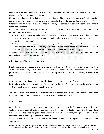impossible to exclude the possibility that a portfolio manager may take disproportionate risks in order to maximise his/her performance-related pay.

Measures to reduce this risk include the internal monitoring of investment decisions by staff and combining performance-related pay and fixed remuneration, as set forth in the Company's 'Remuneration Policy'.

Potential 'Conflicts of Interest' that may arise in providing the service of investment research and financial analysis or other forms

Where the Company is providing the service of investment research and financial analysis, 'Conflicts of Interest' could arise in the following instances:

- a. a unit of the Company may be carrying out research or assessments of instruments while operating together with a unit of the Company providing other investment services, such as discretionary portfolio management.
- b. the Company may produce research material, which is to be used to support the Company's sales and trading activities, but which may at the same time be distributed to the Company's Clients and to the Company's associates or some other person connected to the Company.

Whenever the Company prepares or distributes financial analyses, it provides Clients with information on potential and relevant 'Conflicts of Interest'.

# **Other 'Conflicts of Interest' that may arise**

Finally, managers, employees, brokers or persons directly or indirectly associated with the Company by a control relationship, may be subject to potential 'Conflicts of Interest' by virtue of their family, economic or professional links, or for any other reason related to a procedure, service or transaction, in instances in which:

- a. they may obtain a financial gain or avoid a financial loss, at the expense of a Client;
- b. they have an interest in the outcome of the service provided to a Client or the transaction performed on their behalf, other than the interest of the Client.

The Company itself may have a 'Conflict of Interest' in instances where it purchases a financial instrument for a client and then sells it immediately to one of its other Clients or vice-versa.

# **7. DISCLOSURE**

When the Company becomes aware of a situation where a conflict arises, the Company will disclose it to the Customer prior to undertaking investment business with that particular Customer, or if the Company does not believe that disclosure is appropriate to manage the conflict, the Company may opt not to proceed with the transaction or matter giving rise to the conflict.

The Company reserves the right to review and/or amend its Policy and arrangements whenever deemed appropriate.

TradeMarkets is a trade name of SEMANTIC FUND MANAGERS (licence number 47725). SEMANTIC FUND MANAGERS, Company registration number: 2016/467340/07 (WORKSHOP 17, 138 WEST STREET, Sandton Gauteng 214, South Africa)